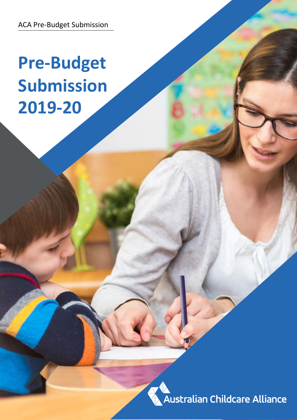ACA Pre-Budget Submission

# **Pre-Budget Submission 2019-20**

**Australian Childcare Alliance**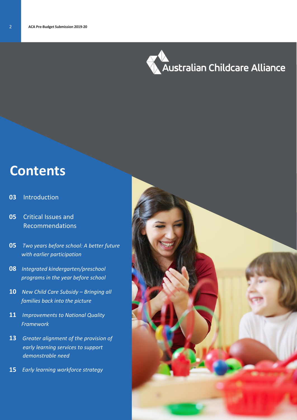

# **Contents**

#### **03** Introduction

- **05** Critical Issues and Recommendations
- **05** *Two years before school: A better future with earlier participation*
- **08** *Integrated kindergarten/preschool programs in the year before school*
- 10 New Child Care Subsidy Bringing all  *families back into the picture*
- **11** *Improvements to National Quality Framework*
- **13** *Greater alignment of the provision of early learning services to support demonstrable need*
- **15** *Early learning workforce strategy*

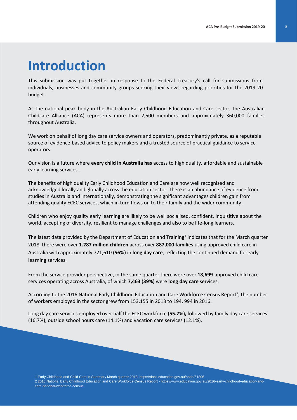# **Introduction**

This submission was put together in response to the Federal Treasury's call for submissions from individuals, businesses and community groups seeking their views regarding priorities for the 2019-20 budget.

As the national peak body in the Australian Early Childhood Education and Care sector, the Australian Childcare Alliance (ACA) represents more than 2,500 members and approximately 360,000 families throughout Australia.

We work on behalf of long day care service owners and operators, predominantly private, as a reputable source of evidence-based advice to policy makers and a trusted source of practical guidance to service operators.

Our vision is a future where **every child in Australia has** access to high quality, affordable and sustainable early learning services.

The benefits of high quality Early Childhood Education and Care are now well recognised and acknowledged locally and globally across the education sector. There is an abundance of evidence from studies in Australia and internationally, demonstrating the significant advantages children gain from attending quality ECEC services, which in turn flows on to their family and the wider community.

Children who enjoy quality early learning are likely to be well socialised, confident, inquisitive about the world, accepting of diversity, resilient to manage challenges and also to be life-long learners.

The latest data provided by the Department of Education and Training<sup>1</sup> indicates that for the March quarter 2018, there were over **1.287 million children** across over **887,000 families** using approved child care in Australia with approximately 721,610 (**56%)** in **long day care**, reflecting the continued demand for early learning services.

From the service provider perspective, in the same quarter there were over **18,699** approved child care services operating across Australia, of which **7,463** (**39%**) were **long day care** services.

According to the 2016 National Early Childhood Education and Care Workforce Census Report<sup>2</sup>, the number of workers employed in the sector grew from 153,155 in 2013 to 194, 994 in 2016.

Long day care services employed over half the ECEC workforce (**55.7%),** followed by family day care services (16.7%), outside school hours care (14.1%) and vacation care services (12.1%).

1 Early Childhood and Child Care in Summary March quarter 2018, https://docs.education.gov.au/node/51806 2 2016 National Early Childhood Education and Care Workforce Census Report - https://www.education.gov.au/2016-early-childhood-education-andcare-national-workforce-census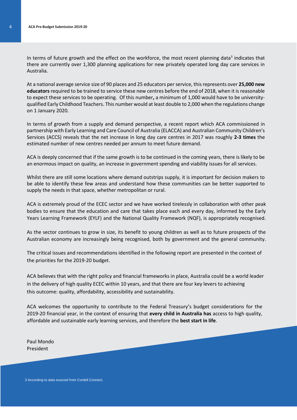In terms of future growth and the effect on the workforce, the most recent planning data<sup>3</sup> indicates that there are currently over 1,300 planning applications for new privately operated long day care services in Australia.

At a national average service size of 90 places and 25 educators per service, this represents over **25,000 new educators** required to be trained to service these new centres before the end of 2018, when it is reasonable to expect these services to be operating. Of this number**,** a minimum of 1,000 would have to be universityqualified Early Childhood Teachers. This number would at least double to 2,000 when the regulations change on 1 January 2020.

In terms of growth from a supply and demand perspective, a recent report which ACA commissioned in partnership with Early Learning and Care Council of Australia (ELACCA) and Australian Community Children's Services (ACCS) reveals that the net increase in long day care centres in 2017 was roughly **2-3 times** the estimated number of new centres needed per annum to meet future demand.

ACA is deeply concerned that if the same growth is to be continued in the coming years, there is likely to be an enormous impact on quality, an increase in government spending and viability issues for all services.

Whilst there are still some locations where demand outstrips supply, it is important for decision makers to be able to identify these few areas and understand how these communities can be better supported to supply the needs in that space, whether metropolitan or rural.

ACA is extremely proud of the ECEC sector and we have worked tirelessly in collaboration with other peak bodies to ensure that the education and care that takes place each and every day, informed by the Early Years Learning Framework (EYLF) and the National Quality Framework (NQF), is appropriately recognised.

As the sector continues to grow in size, its benefit to young children as well as to future prospects of the Australian economy are increasingly being recognised, both by government and the general community.

The critical issues and recommendations identified in the following report are presented in the context of the priorities for the 2019-20 budget.

ACA believes that with the right policy and financial frameworks in place, Australia could be a world leader in the delivery of high quality ECEC within 10 years, and that there are four key levers to achieving this outcome: quality, affordability, accessibility and sustainability.

ACA welcomes the opportunity to contribute to the Federal Treasury's budget considerations for the 2019-20 financial year, in the context of ensuring that **every child in Australia has** access to high quality, affordable and sustainable early learning services, and therefore the **best start in life**.

Paul Mondo President

3 According to data sourced from [Cordell Connect.](https://www.corelogic.com.au/products)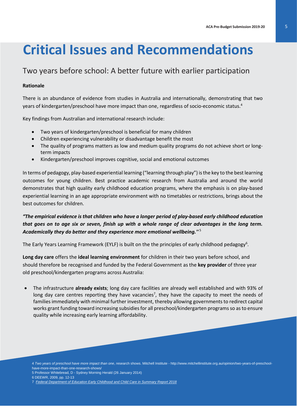# **Critical Issues and Recommendations**

## Two years before school: A better future with earlier participation

#### **Rationale**

There is an abundance of evidence from studies in Australia and internationally, demonstrating that two years of kindergarten/preschool have more impact than one, regardless of socio-economic status. 4

Key findings from Australian and international research include:

- Two years of kindergarten/preschool is beneficial for many children
- Children experiencing vulnerability or disadvantage benefit the most
- The quality of programs matters as low and medium quality programs do not achieve short or longterm impacts
- Kindergarten/preschool improves cognitive, social and emotional outcomes

In terms of pedagogy, play-based experiential learning ("learning through play") is the key to the best learning outcomes for young children. Best practice academic research from Australia and around the world demonstrates that high quality early childhood education programs, where the emphasis is on play-based experiential learning in an age appropriate environment with no timetables or restrictions, brings about the best outcomes for children.

#### *"The empirical evidence is that children who have a longer period of play-based early childhood education that goes on to age six or seven, finish up with a whole range of clear advantages in the long term. Academically they do better and they experience more emotional wellbeing.''* <sup>5</sup>

The Early Years Learning Framework (EYLF) is built on the the principles of early childhood pedagogy<sup>6</sup>.

**Long day care** offers the **ideal learning environment** for children in their two years before school, and should therefore be recognised and funded by the Federal Government as the **key provider** of three year old preschool/kindergarten programs across Australia:

• The infrastructure **already exists**; long day care facilities are already well established and with 93% of long day care centres reporting they have vacancies<sup>7</sup>, they have the capacity to meet the needs of families immediately with minimal further investment, thereby allowing governments to redirect capital works grant funding toward increasing subsidies for all preschool/kindergarten programs so as to ensure quality while increasing early learning affordability.

5 Professor Whitebread, D - [Sydney Morning Herald \(26 January 2014\)](http://www.smh.com.au/national/education/experts-warn-starting-school-too-young-harms-learning-wellbeing-20140125-31fp8.html#ixzz45lLSJXds)

<sup>4</sup> *Two years of preschool have more impact than one*, research shows. Mitchell Institute - http://www.mitchellinstitute.org.au/opinion/two-years-of-preschoolhave-more-impact-than-one-research-shows/

<sup>6</sup> DEEWR, 2009, pp. 12-13

<sup>7</sup> *[Federal Department of Education Early Childhood and Child Care in Summary Report 2018](https://www.education.gov.au/early-childhood-and-child-care-summary-reports)*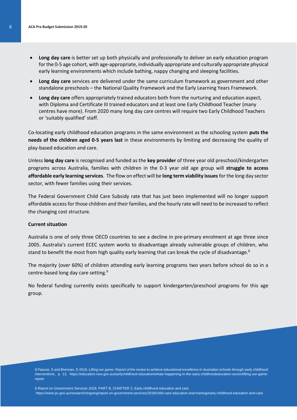- **Long day care** is better set up both physically and professionally to deliver an early education program for the 0-5 age cohort, with age-appropriate, individually appropriate and culturally appropriate physical early learning environments which include bathing, nappy changing and sleeping facilities.
- **Long day care** services are delivered under the same curriculum framework as government and other standalone preschools – the National Quality Framework and the Early Learning Years Framework.
- **Long day care** offers appropriately trained educators both from the nurturing and education aspect, with Diploma and Certificate III trained educators and at least one Early Childhood Teacher (many centres have more). From 2020 many long day care centres will require two Early Childhood Teachers or 'suitably qualified' staff.

Co-locating early childhood education programs in the same environment as the schooling system **puts the needs of the children aged 0-5 years last** in these environments by limiting and decreasing the quality of play-based education and care.

Unless **long day care** is recognised and funded as the **key provider** of three year old preschool/kindergarten programs across Australia, families with children in the 0-3 year old age group will **struggle to access affordable early learning services**. The flow on effect will be **long term viability issues**for the long day sector sector, with fewer families using their services.

The Federal Government Child Care Subsidy rate that has just been implemented will no longer support affordable access for those children and their families, and the hourly rate will need to be increased to reflect the changing cost structure.

#### **Current situation**

Australia is one of only three OECD countries to see a decline in pre-primary enrolment at age three since 2005. Australia's current ECEC system works to disadvantage already vulnerable groups of children, who stand to benefit the most from high quality early learning that can break the cycle of disadvantage.<sup>8</sup>

The majority (over 60%) of children attending early learning programs two years before school do so in a centre-based long day care setting.<sup>9</sup>

No federal funding currently exists specifically to support kindergarten/preschool programs for this age group.

8 Pascoe, S and Brennan, D 2018, *Lifting our game: Report of the review to achieve educational excellence in Australian schools through early childhood interventions*, p 13, [https://education.nsw.gov.au/earlychildhood-education/whats-happening-in-the-early-childhoodeducation-sector/lifting-our-game](https://education.nsw.gov.au/earlychildhood-education/whats-happening-in-the-early-childhoodeducation-sector/lifting-our-game-report)[report](https://education.nsw.gov.au/earlychildhood-education/whats-happening-in-the-early-childhoodeducation-sector/lifting-our-game-report)

9 *Report on Government Services 2018,* PART B, CHAPTER 3, Early childhood education and care <https://www.pc.gov.au/research/ongoing/report-on-government-services/2018/child-care-education-and-training/early-childhood-education-and-care>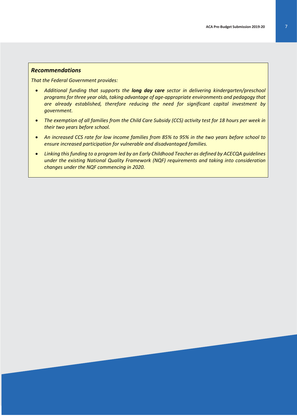#### *Recommendations*

*That the Federal Government provides:*

- *Additional funding that supports the long day care sector in delivering kindergarten/preschool programs for three year olds, taking advantage of age-appropriate environments and pedagogy that are already established, therefore reducing the need for significant capital investment by government.*
- *The exemption of all families from the Child Care Subsidy (CCS) activity test for 18 hours per week in their two years before school.*
- An increased CCS rate for low income families from 85% to 95% in the two years before school to *ensure increased participation for vulnerable and disadvantaged families.*
- *Linking this funding to a program led by an Early Childhood Teacher as defined by ACECQA guidelines under the existing National Quality Framework (NQF) requirements and taking into consideration changes under the NQF commencing in 2020.*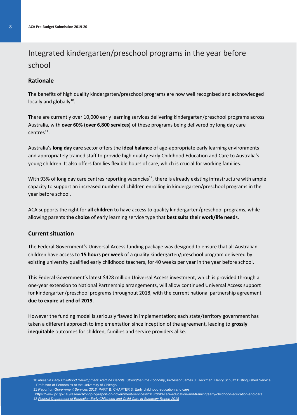# Integrated kindergarten/preschool programs in the year before school

#### **Rationale**

The benefits of high quality kindergarten/preschool programs are now well recognised and acknowledged locally and globally $^{10}$ .

There are currently over 10,000 early learning services delivering kindergarten/preschool programs across Australia, with **over 60% (over 6,800 services)** of these programs being delivered by long day care  $centres<sup>11</sup>$ .

Australia's **long day care** sector offers the **ideal balance** of age-appropriate early learning environments and appropriately trained staff to provide high quality Early Childhood Education and Care to Australia's young children. It also offers families flexible hours of care, which is crucial for working families.

With 93% of long day care centres reporting vacancies<sup>12</sup>, there is already existing infrastructure with ample capacity to support an increased number of children enrolling in kindergarten/preschool programs in the year before school.

ACA supports the right for **all children** to have access to quality kindergarten/preschool programs, while allowing parents **the choice** of early learning service type that **best suits their work/life need**s.

#### **Current situation**

The Federal Government's Universal Access funding package was designed to ensure that all Australian children have access to **15 hours per week** of a quality kindergarten/preschool program delivered by existing university qualified early childhood teachers, for 40 weeks per year in the year before school.

This Federal Government's latest \$428 million Universal Access investment, which is provided through a one-year extension to National Partnership arrangements, will allow continued Universal Access support for kindergarten/preschool programs throughout 2018, with the current national partnership agreement **due to expire at end of 2019**.

However the funding model is seriously flawed in implementation; each state/territory government has taken a different approach to implementation since inception of the agreement, leading to **grossly inequitable** outcomes for children, families and service providers alike.

- 10 *Invest in Early Childhood Development: Reduce Deficits, Strengthen the Economy*, Professor James J. Heckman, Henry Schultz Distinguished Service Professor of Economics at the University of Chicago
- 11 *Report on Government Services 2018*, PART B, CHAPTER 3, Early childhood education and care
- <https://www.pc.gov.au/research/ongoing/report-on-government-services/2018/child-care-education-and-training/early-childhood-education-and-care> 12 *[Federal Department of Education Early Childhood and Child Care in Summary Report 2018](https://www.education.gov.au/early-childhood-and-child-care-summary-reports)*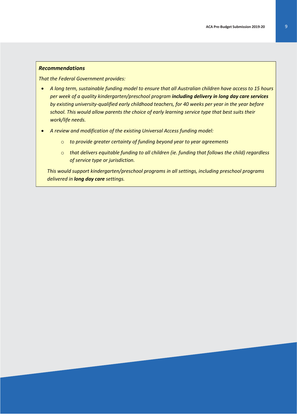#### *Recommendations*

*That the Federal Government provides:*

- *A long term, sustainable funding model to ensure that all Australian children have access to 15 hours per week of a quality kindergarten/preschool program including delivery in long day care services by existing university-qualified early childhood teachers, for 40 weeks per year in the year before school. This would allow parents the choice of early learning service type that best suits their work/life needs.*
- *A review and modification of the existing Universal Access funding model:*
	- o *to provide greater certainty of funding beyond year to year agreements*
	- o *that delivers equitable funding to all children (ie. funding that follows the child) regardless of service type or jurisdiction.*

*This would support kindergarten/preschool programs in all settings, including preschool programs delivered in long day care settings.*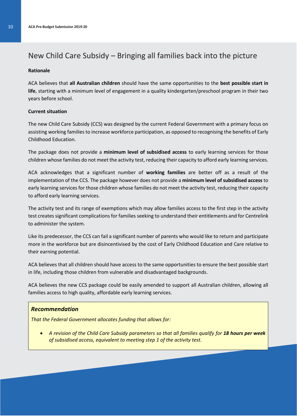### New Child Care Subsidy – Bringing all families back into the picture

#### **Rationale**

ACA believes that **all Australian children** should have the same opportunities to the **best possible start in life**, starting with a minimum level of engagement in a quality kindergarten/preschool program in their two years before school.

#### **Current situation**

The new Child Care Subsidy (CCS) was designed by the current Federal Government with a primary focus on assisting working families to increase workforce participation, as opposed to recognising the benefits of Early Childhood Education.

The package does not provide a **minimum level of subsidised access** to early learning services for those children whose families do not meet the activity test, reducing their capacity to afford early learning services.

ACA acknowledges that a significant number of **working families** are better off as a result of the implementation of the CCS. The package however does not provide a **minimum level of subsidised access** to early learning services for those children whose families do not meet the activity test, reducing their capacity to afford early learning services.

The activity test and its range of exemptions which may allow families access to the first step in the activity test creates significant complications for families seeking to understand their entitlements and for Centrelink to administer the system.

Like its predecessor, the CCS can fail a significant number of parents who would like to return and participate more in the workforce but are disincentivised by the cost of Early Childhood Education and Care relative to their earning potential.

ACA believes that all children should have access to the same opportunities to ensure the best possible start in life, including those children from vulnerable and disadvantaged backgrounds.

ACA believes the new CCS package could be easily amended to support all Australian children, allowing all families access to high quality, affordable early learning services.

#### *Recommendation*

*That the Federal Government allocates funding that allows for:*

• *A revision of the Child Care Subsidy parameters so that all families qualify for 18 hours per week of subsidised access, equivalent to meeting step 1 of the activity test.*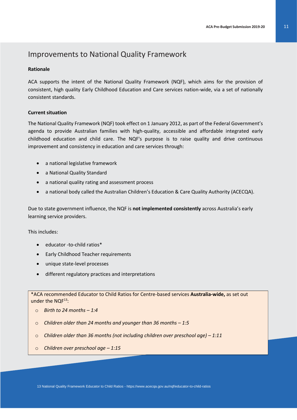### Improvements to National Quality Framework

#### **Rationale**

ACA supports the intent of the National Quality Framework (NQF), which aims for the provision of consistent, high quality Early Childhood Education and Care services nation-wide, via a set of nationally consistent standards.

#### **Current situation**

The National Quality Framework (NQF) took effect on 1 January 2012, as part of the Federal Government's agenda to provide Australian families with high-quality, accessible and affordable integrated early childhood education and child care. The NQF's purpose is to raise quality and drive continuous improvement and consistency in education and care services through:

- a national legislative framework
- a National Quality Standard
- a national quality rating and assessment process
- a national body called the Australian Children's Education & Care Quality Authority (ACECQA).

Due to state government influence, the NQF is **not implemented consistently** across Australia's early learning service providers.

This includes:

- educator -to-child ratios\*
- Early Childhood Teacher requirements
- unique state-level processes
- different regulatory practices and interpretations

\*ACA recommended Educator to Child Ratios for Centre-based services **Australia-wide,** as set out under the  $NQF^{13}$ :

- o *Birth to 24 months – 1:4*
- o *Children older than 24 months and younger than 36 months – 1:5*
- o *Children older than 36 months (not including children over preschool age) – 1:11*
- o *Children over preschool age – 1:15*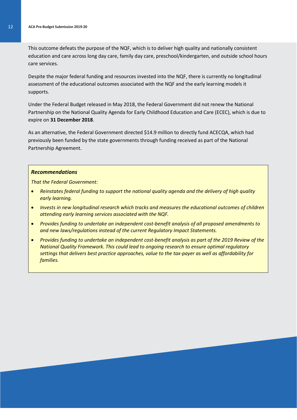This outcome defeats the purpose of the NQF, which is to deliver high quality and nationally consistent education and care across long day care, family day care, preschool/kindergarten, and outside school hours care services.

Despite the major federal funding and resources invested into the NQF, there is currently no longitudinal assessment of the educational outcomes associated with the NQF and the early learning models it supports.

Under the Federal Budget released in May 2018, the Federal Government did not renew the National Partnership on the National Quality Agenda for Early Childhood Education and Care (ECEC), which is due to expire on **31 December 2018**.

As an alternative, the Federal Government directed \$14.9 million to directly fund ACECQA, which had previously been funded by the state governments through funding received as part of the National Partnership Agreement.

#### *Recommendations*

*That the Federal Government:* 

- *Reinstates federal funding to support the national quality agenda and the delivery of high quality early learning.*
- *Invests in new longitudinal research which tracks and measures the educational outcomes of children attending early learning services associated with the NQF.*
- *Provides funding to undertake an independent cost-benefit analysis of all proposed amendments to and new laws/regulations instead of the current Regulatory Impact Statements.*
- *Provides funding to undertake an independent cost-benefit analysis as part of the 2019 Review of the National Quality Framework. This could lead to ongoing research to ensure optimal regulatory settings that delivers best practice approaches, value to the tax-payer as well as affordability for families.*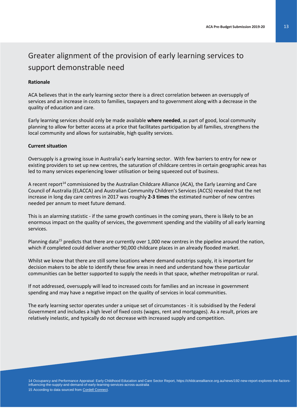# Greater alignment of the provision of early learning services to support demonstrable need

#### **Rationale**

ACA believes that in the early learning sector there is a direct correlation between an oversupply of services and an increase in costs to families, taxpayers and to government along with a decrease in the quality of education and care.

Early learning services should only be made available **where needed**, as part of good, local community planning to allow for better access at a price that facilitates participation by all families, strengthens the local community and allows for sustainable, high quality services.

#### **Current situation**

Oversupply is a growing issue in Australia's early learning sector. With few barriers to entry for new or existing providers to set up new centres, the saturation of childcare centres in certain geographic areas has led to many services experiencing lower utilisation or being squeezed out of business.

A recent report<sup>14</sup> commissioned by the Australian Childcare Alliance (ACA), the Early Learning and Care Council of Australia (ELACCA) and Australian Community Children's Services (ACCS) revealed that the net increase in long day care centres in 2017 was roughly **2-3 times** the estimated number of new centres needed per annum to meet future demand.

This is an alarming statistic - if the same growth continues in the coming years, there is likely to be an enormous impact on the quality of services, the government spending and the viability of all early learning services.

Planning data<sup>15</sup> predicts that there are currently over 1,000 new centres in the pipeline around the nation, which if completed could deliver another 90,000 childcare places in an already flooded market.

Whilst we know that there are still some locations where demand outstrips supply, it is important for decision makers to be able to identify these few areas in need and understand how these particular communities can be better supported to supply the needs in that space, whether metropolitan or rural.

If not addressed, oversupply will lead to increased costs for families and an increase in government spending and may have a negative impact on the quality of services in local communities.

The early learning sector operates under a unique set of circumstances - it is subsidised by the Federal Government and includes a high level of fixed costs (wages, rent and mortgages). As a result, prices are relatively inelastic, and typically do not decrease with increased supply and competition.

14 Occupancy and Performance Appraisal: Early Childhood Education and Care Sector Report[, https://childcarealliance.org.au/news/192-new-report-explores-the-factors](https://childcarealliance.org.au/news/192-new-report-explores-the-factors-influencing-the-supply-and-demand-of-early-learning-services-across-australia)[influencing-the-supply-and-demand-of-early-learning-services-across-australia](https://childcarealliance.org.au/news/192-new-report-explores-the-factors-influencing-the-supply-and-demand-of-early-learning-services-across-australia) 15 According to data sourced from [Cordell Connect.](https://www.corelogic.com.au/products)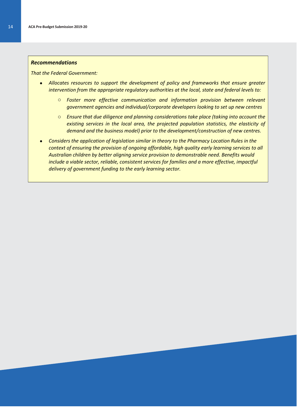#### *Recommendations*

*That the Federal Government:* 

- *Allocates resources to support the development of policy and frameworks that ensure greater intervention from the appropriate regulatory authorities at the local, state and federal levels to:* 
	- o *Foster more effective communication and information provision between relevant government agencies and individual/corporate developers looking to set up new centres*
	- o *Ensure that due diligence and planning considerations take place (taking into account the existing services in the local area, the projected population statistics, the elasticity of demand and the business model) prior to the development/construction of new centres.*
- *Considers the application of legislation similar in theory to the Pharmacy Location Rules in the context of ensuring the provision of ongoing affordable, high quality early learning services to all Australian children by better aligning service provision to demonstrable need. Benefits would include a viable sector, reliable, consistent services for families and a more effective, impactful delivery of government funding to the early learning sector.*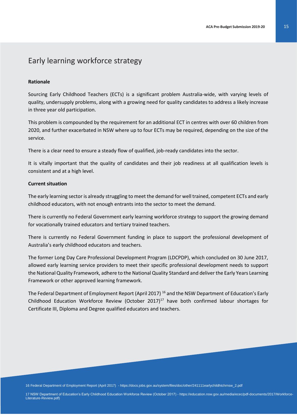### Early learning workforce strategy

#### **Rationale**

Sourcing Early Childhood Teachers (ECTs) is a significant problem Australia-wide, with varying levels of quality, undersupply problems, along with a growing need for quality candidates to address a likely increase in three year old participation.

This problem is compounded by the requirement for an additional ECT in centres with over 60 children from 2020, and further exacerbated in NSW where up to four ECTs may be required, depending on the size of the service.

There is a clear need to ensure a steady flow of qualified, job-ready candidates into the sector.

It is vitally important that the quality of candidates and their job readiness at all qualification levels is consistent and at a high level.

#### **Current situation**

The early learning sector is already struggling to meet the demand for well trained, competent ECTs and early childhood educators, with not enough entrants into the sector to meet the demand.

There is currently no Federal Government early learning workforce strategy to support the growing demand for vocationally trained educators and tertiary trained teachers.

There is currently no Federal Government funding in place to support the professional development of Australia's early childhood educators and teachers.

The former Long Day Care Professional Development Program (LDCPDP), which concluded on 30 June 2017, allowed early learning service providers to meet their specific professional development needs to support the National Quality Framework, adhere to the National Quality Standard and deliver the Early Years Learning Framework or other approved learning framework.

The Federal Department of Employment Report (April 2017)<sup>16</sup> and the NSW Department of Education's Early Childhood Education Workforce Review (October 2017) $^{17}$  have both confirmed labour shortages for Certificate III, Diploma and Degree qualified educators and teachers.

17 NSW Department of Education's Early Childhood Education Workforce Review (October 2017) - [https://education.nsw.gov.au/media/ecec/pdf-documents/2017/Workforce-](https://education.nsw.gov.au/media/ecec/pdf-documents/2017/Workforce-Literature-Review.pdf)[Literature-Review.pdf\)](https://education.nsw.gov.au/media/ecec/pdf-documents/2017/Workforce-Literature-Review.pdf)

<sup>16</sup> Federal Department of Employment Report (April 2017) - [https://docs.jobs.gov.au/system/files/doc/other/241111earlychildhtchrnsw\\_2.pdf](https://docs.jobs.gov.au/system/files/doc/other/241111earlychildhtchrnsw_2.pdf)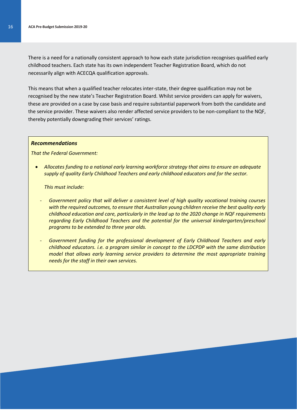There is a need for a nationally consistent approach to how each state jurisdiction recognises qualified early childhood teachers. Each state has its own independent Teacher Registration Board, which do not necessarily align with ACECQA qualification approvals.

This means that when a qualified teacher relocates inter-state, their degree qualification may not be recognised by the new state's Teacher Registration Board. Whilst service providers can apply for waivers, these are provided on a case by case basis and require substantial paperwork from both the candidate and the service provider. These waivers also render affected service providers to be non-compliant to the NQF, thereby potentially downgrading their services' ratings.

#### *Recommendations*

*That the Federal Government:*

• *Allocates funding to a national early learning workforce strategy that aims to ensure an adequate supply of quality Early Childhood Teachers and early childhood educators and for the sector.* 

*This must include:*

- *Government policy that will deliver a consistent level of high quality vocational training courses with the required outcomes, to ensure that Australian young children receive the best quality early childhood education and care, particularly in the lead up to the 2020 change in NQF requirements regarding Early Childhood Teachers and the potential for the universal kindergarten/preschool programs to be extended to three year olds.*
- *Government funding for the professional development of Early Childhood Teachers and early childhood educators. i.e. a program similar in concept to the LDCPDP with the same distribution model that allows early learning service providers to determine the most appropriate training needs for the staff in their own services.*